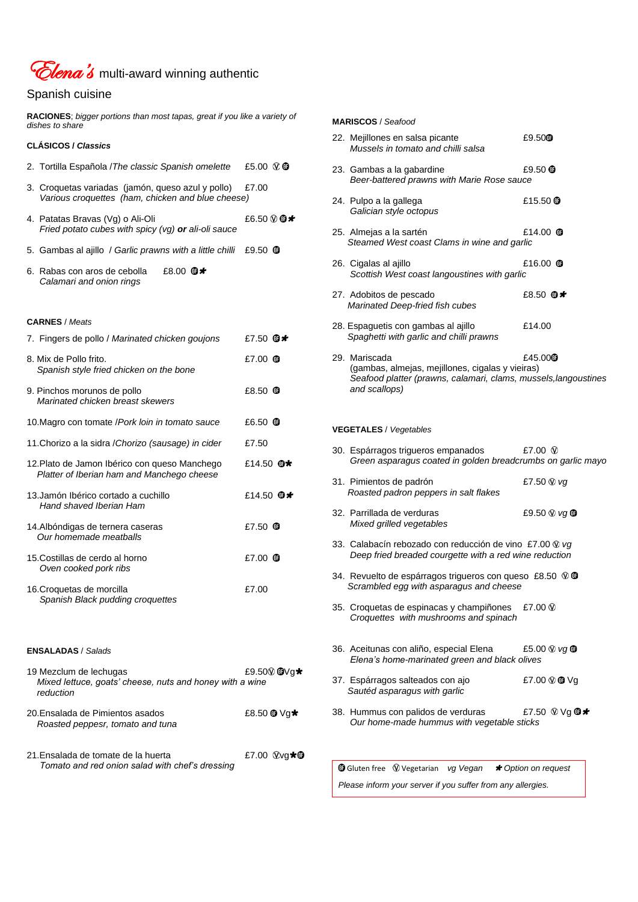

# Spanish cuisine

**RACIONES**; *bigger portions than most tapas, great if you like a variety of dishes to share*

## **CLÁSICOS /** *Classics*

- 2. Tortilla Española /*The classic Spanish omelette* £5.00
- 3. Croquetas variadas (jamón, queso azul y pollo) £7.00  *Various croquettes (ham, chicken and blue cheese)*
- 4. Patatas Bravas (Vg) o Ali-Oli  $£6.50 \circledast \bullet \star$  *Fried potato cubes with spicy (vg) or ali-oli sauce*
- 5. Gambas al ajillo / *Garlic prawns with a little chilli* £9.50
- 6. Rabas con aros de cebolla £8.00  $\oplus \star$  *Calamari and onion rings*

### **CARNES** / *Meats*

20.Ensalada de Pimientos asados  $£8.50$  <sup>to</sup>  $\sqrt{g}$   $\star$  *Roasted peppesr, tomato and tuna*

21.Ensalada de tomate de la huerta  $\text{E7.00 }\text{Wg} \star \text{O}$  *Tomato and red onion salad with chef's dressing*

| 7. Fingers de pollo / Marinated chicken goujons                                             | £7.50 $\oplus\star$        |
|---------------------------------------------------------------------------------------------|----------------------------|
| 8. Mix de Pollo frito.<br>Spanish style fried chicken on the bone                           | £7.00 $\bullet$            |
| 9. Pinchos morunos de pollo<br>Marinated chicken breast skewers                             | £8.50 <b>O</b>             |
| 10. Magro con tomate / Pork loin in tomato sauce                                            | £6.50 <b>T</b>             |
| 11. Chorizo a la sidra / Chorizo (sausage) in cider                                         | £7.50                      |
| 12. Plato de Jamon Ibérico con queso Manchego<br>Platter of Iberian ham and Manchego cheese | £14.50 $\mathbf{\oplus}$ * |
| 13. Jamón Ibérico cortado a cuchillo<br>Hand shaved Iberian Ham                             | £14.50 $\oplus$ *          |
| 14. Albóndigas de ternera caseras<br>Our homemade meatballs                                 | £7.50 $\bullet$            |
| 15. Costillas de cerdo al horno<br>Oven cooked pork ribs                                    | £7.00 <b>O</b>             |
| 16. Croquetas de morcilla<br>Spanish Black pudding croquettes                               | £7.00                      |
|                                                                                             |                            |

#### **ENSALADAS** / *Salads*

| 19 Mezclum de lechugas |                                                                                   | £9.50 $@Vg$ $\star$ |
|------------------------|-----------------------------------------------------------------------------------|---------------------|
|                        | $M_0$ and $\mu$ is a second contract the second contract $\mu$ is $\mu$ and $\mu$ |                     |

 *Mixed lettuce, goats' cheese, nuts and honey with a wine reduction*

37. Espárragos salteados con ajo  $E7.00 \otimes \Phi$  Vg  *Sautéd asparagus with garlic*

38. Hummus con palidos de verduras  $\pmb{\text{E7.50}} \otimes \text{Vg} \, \pmb{\text{O}} \star$ *Our home-made hummus with vegetable sticks*

Gluten free **W** Vegetarian *vg Vegan* \* Option on request

#### **MARISCOS** / *Seafood*

| 22. Mejillones en salsa picante<br>Mussels in tomato and chilli salsa                                                                                 | £9.50 <sup>o</sup>  |
|-------------------------------------------------------------------------------------------------------------------------------------------------------|---------------------|
| 23. Gambas a la gabardine<br>Beer-battered prawns with Marie Rose sauce                                                                               | £9.50 $\circledR$   |
| 24. Pulpo a la gallega<br>Galician style octopus                                                                                                      | £15.50 $①$          |
| 25. Almejas a la sartén<br>Steamed West coast Clams in wine and garlic                                                                                | £14.00 $\bullet$    |
| 26. Cigalas al ajillo<br>Scottish West coast langoustines with garlic                                                                                 | £16.00 $\bullet$    |
| 27. Adobitos de pescado<br>Marinated Deep-fried fish cubes                                                                                            | £8.50 <b>®</b> *    |
| 28. Espaguetis con gambas al ajillo<br>Spaghetti with garlic and chilli prawns                                                                        | £14.00              |
| 29. Mariscada<br>(gambas, almejas, mejillones, cigalas y vieiras)<br>Seafood platter (prawns, calamari, clams, mussels, langoustines<br>and scallops) | £45.00 <sup>®</sup> |
| <b>VEGETALES / Vegetables</b>                                                                                                                         |                     |
| 30. Espárragos trigueros empanados<br>Green asparagus coated in golden breadcrumbs on garlic mayo                                                     | £7.00 $\circledR$   |
| 31. Pimientos de padrón<br>Roasted padron peppers in salt flakes                                                                                      | £7.50 W vg          |
| 32. Parrillada de verduras<br>Mixed grilled vegetables                                                                                                | £9.50 W vg ®        |
| 33. Calabacín rebozado con reducción de vino £7.00 $\mathcal{D}$ vg<br>Deep fried breaded courgette with a red wine reduction                         |                     |
| 34. Revuelto de espárragos trigueros con queso £8.50 $\mathcal{D}$ $\mathbf{\Phi}$<br>Scrambled egg with asparagus and cheese                         |                     |
| 35. Croquetas de espinacas y champiñones<br>Croquettes with mushrooms and spinach                                                                     | £7.00 $\circledR$   |
| 36. Aceitunas con aliño, especial Elena<br>Elena's home-marinated green and black olives                                                              | £5.00 W vg ®        |

*Please inform your server if you suffer from any allergies.*